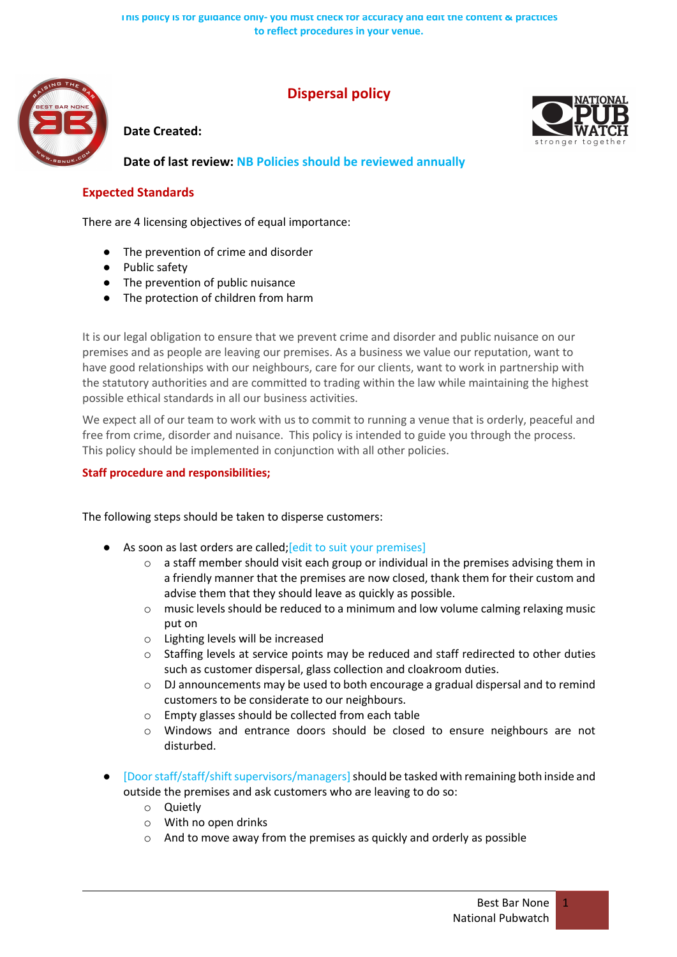

## **Dispersal policy**

## **Date Created:**

**Date of last review: NB Policies should be reviewed annually**

## **Expected Standards**

There are 4 licensing objectives of equal importance:

- The prevention of crime and disorder
- Public safety
- The prevention of public nuisance
- The protection of children from harm

It is our legal obligation to ensure that we prevent crime and disorder and public nuisance on our premises and as people are leaving our premises. As a business we value our reputation, want to have good relationships with our neighbours, care for our clients, want to work in partnership with the statutory authorities and are committed to trading within the law while maintaining the highest possible ethical standards in all our business activities.

We expect all of our team to work with us to commit to running a venue that is orderly, peaceful and free from crime, disorder and nuisance. This policy is intended to guide you through the process. This policy should be implemented in conjunction with all other policies.

## **Staff procedure and responsibilities;**

The following steps should be taken to disperse customers:

- As soon as last orders are called; [edit to suit your premises]
	- $\circ$  a staff member should visit each group or individual in the premises advising them in a friendly manner that the premises are now closed, thank them for their custom and advise them that they should leave as quickly as possible.
	- $\circ$  music levels should be reduced to a minimum and low volume calming relaxing music put on
	- o Lighting levels will be increased
	- $\circ$  Staffing levels at service points may be reduced and staff redirected to other duties such as customer dispersal, glass collection and cloakroom duties.
	- $\circ$  DJ announcements may be used to both encourage a gradual dispersal and to remind customers to be considerate to our neighbours.
	- o Empty glasses should be collected from each table
	- o Windows and entrance doors should be closed to ensure neighbours are not disturbed.
- [Door staff/staff/shift supervisors/managers] should be tasked with remaining both inside and outside the premises and ask customers who are leaving to do so:
	- o Quietly
	- o With no open drinks
	- o And to move away from the premises as quickly and orderly as possible

1